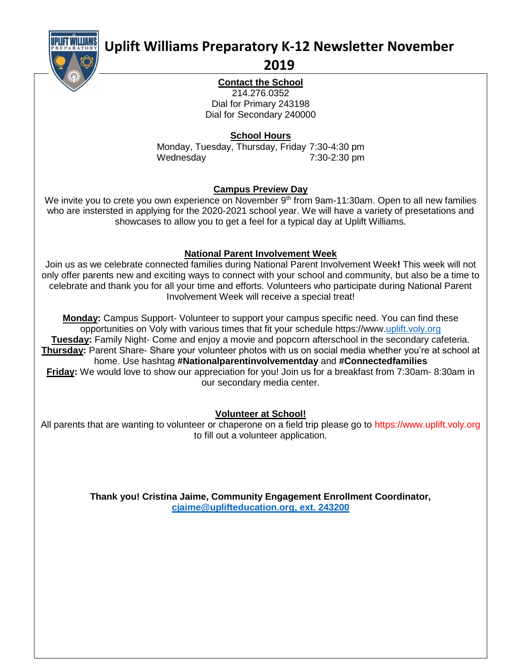

# **Uplift Williams Preparatory K-12 Newsletter November**

# **2019**

**Contact the School** 214.276.0352 Dial for Primary 243198 Dial for Secondary 240000

**School Hours**

Monday, Tuesday, Thursday, Friday 7:30-4:30 pm Wednesday 7:30-2:30 pm

## **Campus Preview Day**

We invite you to crete you own experience on November 9<sup>th</sup> from 9am-11:30am. Open to all new families who are instersted in applying for the 2020-2021 school year. We will have a variety of presetations and showcases to allow you to get a feel for a typical day at Uplift Williams.

## **National Parent Involvement Week**

Join us as we celebrate connected families during National Parent Involvement Week**!** This week will not only offer parents new and exciting ways to connect with your school and community, but also be a time to celebrate and thank you for all your time and efforts. Volunteers who participate during National Parent Involvement Week will receive a special treat!

**Monday:** Campus Support- Volunteer to support your campus specific need. You can find these opportunities on Voly with various times that fit your schedule https://www[.uplift.voly.org](http://www.uplift.voly.org/) **Tuesday:** Family Night- Come and enjoy a movie and popcorn afterschool in the secondary cafeteria. **Thursday:** Parent Share- Share your volunteer photos with us on social media whether you're at school at home. Use hashtag **#Nationalparentinvolvementday** and **#Connectedfamilies Friday:** We would love to show our appreciation for you! Join us for a breakfast from 7:30am- 8:30am in our secondary media center.

## **Volunteer at School!**

All parents that are wanting to volunteer or chaperone on a field trip please go to https://www.uplift.voly.org to fill out a volunteer application.

> **Thank you! Cristina Jaime, Community Engagement Enrollment Coordinator, [cjaime@uplifteducation.org,](mailto:cjaime@uplifteducation.org) ext. 243200**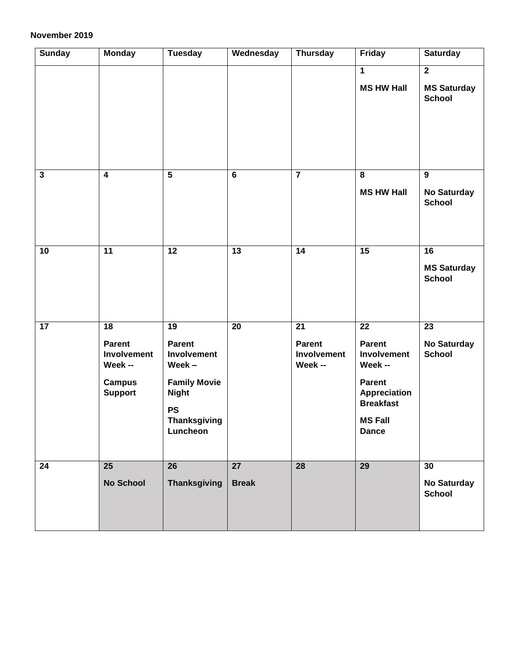#### **November 2019**

| <b>Sunday</b>   | <b>Monday</b>                                                                           | <b>Tuesday</b>                                                                                                                 | Wednesday                       | <b>Thursday</b>                               | <b>Friday</b>                                                                                                                        | <b>Saturday</b>                                       |
|-----------------|-----------------------------------------------------------------------------------------|--------------------------------------------------------------------------------------------------------------------------------|---------------------------------|-----------------------------------------------|--------------------------------------------------------------------------------------------------------------------------------------|-------------------------------------------------------|
|                 |                                                                                         |                                                                                                                                |                                 |                                               | $\overline{1}$<br><b>MS HW Hall</b>                                                                                                  | $\overline{2}$<br><b>MS Saturday</b><br><b>School</b> |
| $\mathbf{3}$    | $\boldsymbol{4}$                                                                        | $\overline{\mathbf{5}}$                                                                                                        | $6\phantom{a}$                  | $\overline{\mathbf{7}}$                       | 8<br><b>MS HW Hall</b>                                                                                                               | $\boldsymbol{9}$<br>No Saturday<br><b>School</b>      |
| 10              | 11                                                                                      | 12                                                                                                                             | 13                              | 14                                            | 15                                                                                                                                   | 16<br><b>MS Saturday</b><br><b>School</b>             |
| 17              | 18<br><b>Parent</b><br><b>Involvement</b><br>Week --<br><b>Campus</b><br><b>Support</b> | 19<br>Parent<br>Involvement<br>Week $-$<br><b>Family Movie</b><br><b>Night</b><br><b>PS</b><br><b>Thanksgiving</b><br>Luncheon | 20                              | 21<br><b>Parent</b><br>Involvement<br>Week -- | 22<br><b>Parent</b><br>Involvement<br>Week --<br><b>Parent</b><br>Appreciation<br><b>Breakfast</b><br><b>MS Fall</b><br><b>Dance</b> | 23<br>No Saturday<br><b>School</b>                    |
| $\overline{24}$ | $\overline{25}$<br><b>No School</b>                                                     | 26<br><b>Thanksgiving</b>                                                                                                      | $\overline{27}$<br><b>Break</b> | $\overline{28}$                               | 29                                                                                                                                   | 30<br><b>No Saturday</b><br><b>School</b>             |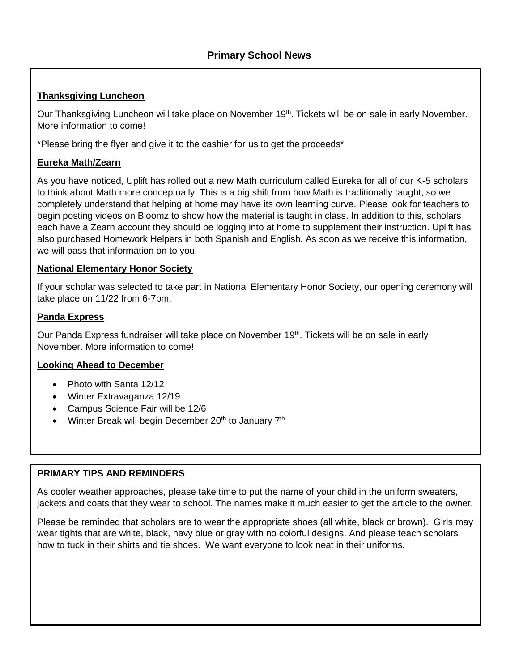## **Thanksgiving Luncheon**

Our Thanksgiving Luncheon will take place on November 19<sup>th</sup>. Tickets will be on sale in early November. More information to come!

\*Please bring the flyer and give it to the cashier for us to get the proceeds\*

## **Eureka Math/Zearn**

As you have noticed, Uplift has rolled out a new Math curriculum called Eureka for all of our K-5 scholars to think about Math more conceptually. This is a big shift from how Math is traditionally taught, so we completely understand that helping at home may have its own learning curve. Please look for teachers to begin posting videos on Bloomz to show how the material is taught in class. In addition to this, scholars each have a Zearn account they should be logging into at home to supplement their instruction. Uplift has also purchased Homework Helpers in both Spanish and English. As soon as we receive this information, we will pass that information on to you!

#### **National Elementary Honor Society**

If your scholar was selected to take part in National Elementary Honor Society, our opening ceremony will take place on 11/22 from 6-7pm.

#### **Panda Express**

Our Panda Express fundraiser will take place on November 19<sup>th</sup>. Tickets will be on sale in early November. More information to come!

#### **Looking Ahead to December**

- Photo with Santa 12/12
- Winter Extravaganza 12/19
- Campus Science Fair will be 12/6
- Winter Break will begin December  $20<sup>th</sup>$  to January  $7<sup>th</sup>$

#### **PRIMARY TIPS AND REMINDERS**

As cooler weather approaches, please take time to put the name of your child in the uniform sweaters, jackets and coats that they wear to school. The names make it much easier to get the article to the owner.

Please be reminded that scholars are to wear the appropriate shoes (all white, black or brown). Girls may wear tights that are white, black, navy blue or gray with no colorful designs. And please teach scholars how to tuck in their shirts and tie shoes. We want everyone to look neat in their uniforms.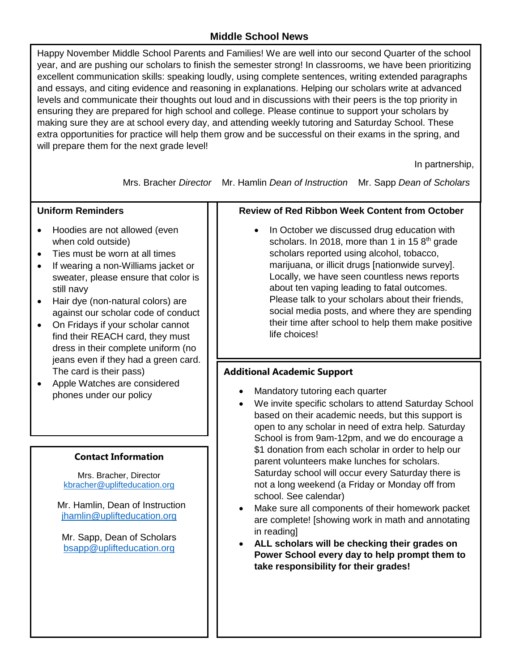## **Middle School News**

Happy November Middle School Parents and Families! We are well into our second Quarter of the school year, and are pushing our scholars to finish the semester strong! In classrooms, we have been prioritizing excellent communication skills: speaking loudly, using complete sentences, writing extended paragraphs and essays, and citing evidence and reasoning in explanations. Helping our scholars write at advanced levels and communicate their thoughts out loud and in discussions with their peers is the top priority in ensuring they are prepared for high school and college. Please continue to support your scholars by making sure they are at school every day, and attending weekly tutoring and Saturday School. These extra opportunities for practice will help them grow and be successful on their exams in the spring, and will prepare them for the next grade level!

In partnership,

Mrs. Bracher *Director* Mr. Hamlin *Dean of Instruction* Mr. Sapp *Dean of Scholars*

## **Uniform Reminders**

- Hoodies are not allowed (even when cold outside)
- Ties must be worn at all times
- If wearing a non-Williams jacket or sweater, please ensure that color is still navy
- Hair dye (non-natural colors) are against our scholar code of conduct
- On Fridays if your scholar cannot find their REACH card, they must dress in their complete uniform (no jeans even if they had a green card. The card is their pass)
- Apple Watches are considered phones under our policy

#### **Contact Information**

Mrs. Bracher, Director [kbracher@uplifteducation.org](mailto:kbracher@uplifteducation.org)

 Mr. Hamlin, Dean of Instruction [jhamlin@uplifteducation.org](mailto:jhamlin@uplifteducation.org)

Mr. Sapp, Dean of Scholars [bsapp@uplifteducation.org](mailto:bsapp@uplifteducation.org)

#### **Review of Red Ribbon Week Content from October**

 In October we discussed drug education with scholars. In 2018, more than 1 in 15  $8<sup>th</sup>$  grade scholars reported using alcohol, tobacco, marijuana, or illicit drugs [nationwide survey]. Locally, we have seen countless news reports about ten vaping leading to fatal outcomes. Please talk to your scholars about their friends, social media posts, and where they are spending their time after school to help them make positive life choices!

## **Additional Academic Support**

- Mandatory tutoring each quarter
- We invite specific scholars to attend Saturday School based on their academic needs, but this support is open to any scholar in need of extra help. Saturday School is from 9am-12pm, and we do encourage a \$1 donation from each scholar in order to help our parent volunteers make lunches for scholars. Saturday school will occur every Saturday there is not a long weekend (a Friday or Monday off from school. See calendar)
- Make sure all components of their homework packet are complete! [showing work in math and annotating in reading]
- **ALL scholars will be checking their grades on Power School every day to help prompt them to take responsibility for their grades!**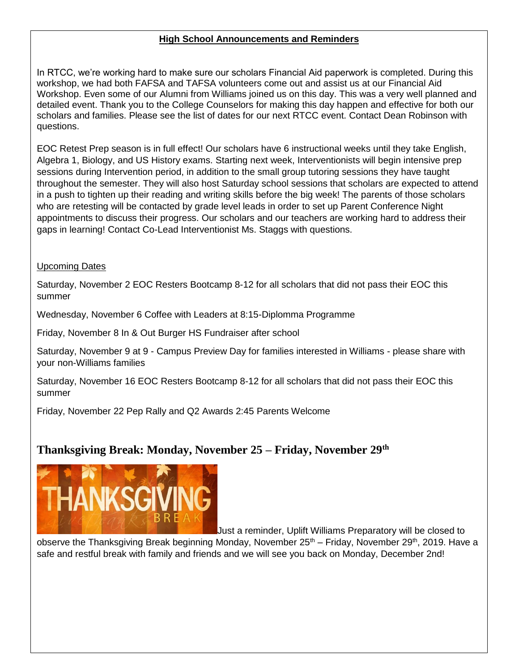#### **High School Announcements and Reminders**

In RTCC, we're working hard to make sure our scholars Financial Aid paperwork is completed. During this workshop, we had both FAFSA and TAFSA volunteers come out and assist us at our Financial Aid Workshop. Even some of our Alumni from Williams joined us on this day. This was a very well planned and detailed event. Thank you to the College Counselors for making this day happen and effective for both our scholars and families. Please see the list of dates for our next RTCC event. Contact Dean Robinson with questions.

EOC Retest Prep season is in full effect! Our scholars have 6 instructional weeks until they take English, Algebra 1, Biology, and US History exams. Starting next week, Interventionists will begin intensive prep sessions during Intervention period, in addition to the small group tutoring sessions they have taught throughout the semester. They will also host Saturday school sessions that scholars are expected to attend in a push to tighten up their reading and writing skills before the big week! The parents of those scholars who are retesting will be contacted by grade level leads in order to set up Parent Conference Night appointments to discuss their progress. Our scholars and our teachers are working hard to address their gaps in learning! Contact Co-Lead Interventionist Ms. Staggs with questions.

#### Upcoming Dates

Saturday, November 2 EOC Resters Bootcamp 8-12 for all scholars that did not pass their EOC this summer

Wednesday, November 6 Coffee with Leaders at 8:15-Diplomma Programme

Friday, November 8 In & Out Burger HS Fundraiser after school

Saturday, November 9 at 9 - Campus Preview Day for families interested in Williams - please share with your non-Williams families

Saturday, November 16 EOC Resters Bootcamp 8-12 for all scholars that did not pass their EOC this summer

Friday, November 22 Pep Rally and Q2 Awards 2:45 Parents Welcome

# **Thanksgiving Break: Monday, November 25 – Friday, November 29th**



Just a reminder, Uplift Williams Preparatory will be closed to

observe the Thanksgiving Break beginning Monday, November 25<sup>th</sup> – Friday, November 29<sup>th</sup>, 2019. Have a safe and restful break with family and friends and we will see you back on Monday, December 2nd!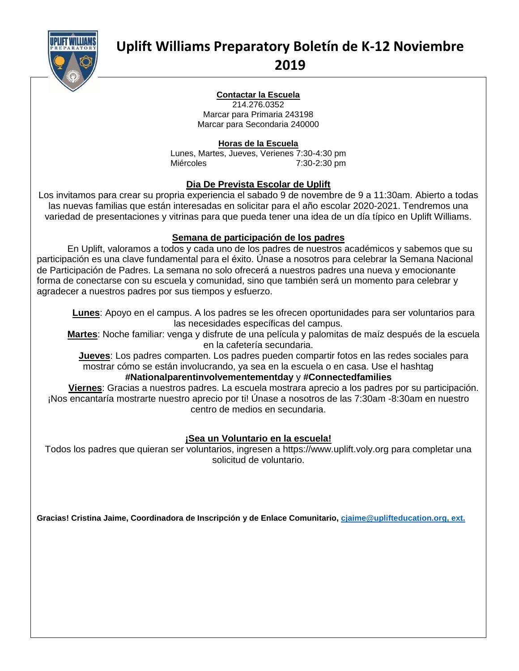

# **Uplift Williams Preparatory Boletín de K-12 Noviembre 2019**

#### **Contactar la Escuela**

214.276.0352 Marcar para Primaria 243198 Marcar para Secondaria 240000

**Horas de la Escuela**

Lunes, Martes, Jueves, Verienes 7:30-4:30 pm Miércoles 7:30-2:30 pm

#### **Dia De Prevista Escolar de Uplift**

Los invitamos para crear su propria experiencia el sabado 9 de novembre de 9 a 11:30am. Abierto a todas las nuevas familias que están interesadas en solicitar para el año escolar 2020-2021. Tendremos una variedad de presentaciones y vitrinas para que pueda tener una idea de un día típico en Uplift Williams.

#### **Semana de participación de los padres**

En Uplift, valoramos a todos y cada uno de los padres de nuestros académicos y sabemos que su participación es una clave fundamental para el éxito. Únase a nosotros para celebrar la Semana Nacional de Participación de Padres. La semana no solo ofrecerá a nuestros padres una nueva y emocionante forma de conectarse con su escuela y comunidad, sino que también será un momento para celebrar y agradecer a nuestros padres por sus tiempos y esfuerzo.

**Lunes**: Apoyo en el campus. A los padres se les ofrecen oportunidades para ser voluntarios para las necesidades específicas del campus.

**Martes**: Noche familiar: venga y disfrute de una película y palomitas de maíz después de la escuela en la cafetería secundaria.

**Jueves**: Los padres comparten. Los padres pueden compartir fotos en las redes sociales para mostrar cómo se están involucrando, ya sea en la escuela o en casa. Use el hashtag

# **#Nationalparentinvolvementementday** y **#Connectedfamilies**

**Viernes**: Gracias a nuestros padres. La escuela mostrara aprecio a los padres por su participación. ¡Nos encantaría mostrarte nuestro aprecio por ti! Únase a nosotros de las 7:30am -8:30am en nuestro centro de medios en secundaria.

#### **¡Sea un Voluntario en la escuela!**

Todos los padres que quieran ser voluntarios, ingresen a https://www.uplift.voly.org para completar una solicitud de voluntario.

**Gracias! Cristina Jaime, Coordinadora de Inscripción y de Enlace Comunitario, [cjaime@uplifteducation.org,](mailto:cjaime@uplifteducation.org) ext.**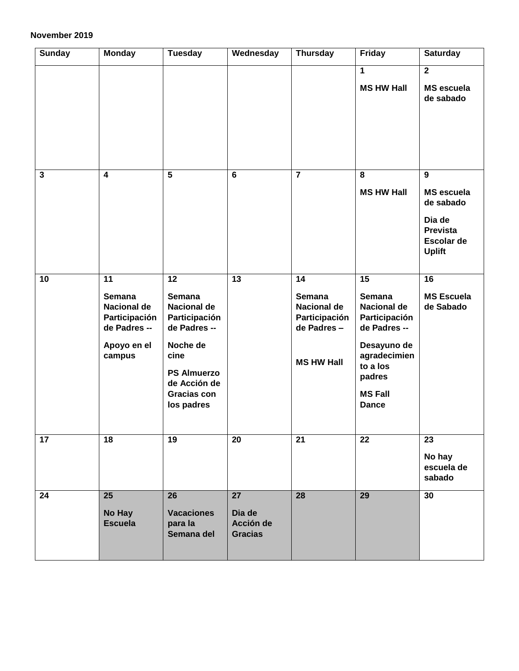#### **November 2019**

| <b>Sunday</b> | <b>Monday</b>                                                                                | <b>Tuesday</b>                                                                                                                                                          | Wednesday                                   | <b>Thursday</b>                                                                                      | <b>Friday</b>                                                                                                                                                                  | <b>Saturday</b>                                                                                        |
|---------------|----------------------------------------------------------------------------------------------|-------------------------------------------------------------------------------------------------------------------------------------------------------------------------|---------------------------------------------|------------------------------------------------------------------------------------------------------|--------------------------------------------------------------------------------------------------------------------------------------------------------------------------------|--------------------------------------------------------------------------------------------------------|
|               |                                                                                              |                                                                                                                                                                         |                                             |                                                                                                      | 1<br><b>MS HW Hall</b>                                                                                                                                                         | $\overline{2}$<br><b>MS</b> escuela<br>de sabado                                                       |
| 3             | $\overline{\mathbf{4}}$                                                                      | 5                                                                                                                                                                       | $6\phantom{1}$                              | $\overline{7}$                                                                                       | 8<br><b>MS HW Hall</b>                                                                                                                                                         | 9<br><b>MS</b> escuela<br>de sabado<br>Dia de<br><b>Prevista</b><br><b>Escolar de</b><br><b>Uplift</b> |
| 10            | 11<br><b>Semana</b><br>Nacional de<br>Participación<br>de Padres --<br>Apoyo en el<br>campus | $\overline{12}$<br><b>Semana</b><br>Nacional de<br>Participación<br>de Padres --<br>Noche de<br>cine<br><b>PS Almuerzo</b><br>de Acción de<br>Gracias con<br>los padres | 13                                          | $\overline{14}$<br><b>Semana</b><br>Nacional de<br>Participación<br>de Padres -<br><b>MS HW Hall</b> | $\overline{15}$<br><b>Semana</b><br><b>Nacional de</b><br>Participación<br>de Padres --<br>Desayuno de<br>agradecimien<br>to a los<br>padres<br><b>MS Fall</b><br><b>Dance</b> | $\overline{16}$<br><b>MS Escuela</b><br>de Sabado                                                      |
| 17            | 18                                                                                           | 19                                                                                                                                                                      | 20                                          | 21                                                                                                   | 22                                                                                                                                                                             | 23<br>No hay<br>escuela de<br>sabado                                                                   |
| 24            | 25<br>No Hay<br><b>Escuela</b>                                                               | 26<br><b>Vacaciones</b><br>para la<br>Semana del                                                                                                                        | 27<br>Dia de<br>Acción de<br><b>Gracias</b> | 28                                                                                                   | 29                                                                                                                                                                             | 30                                                                                                     |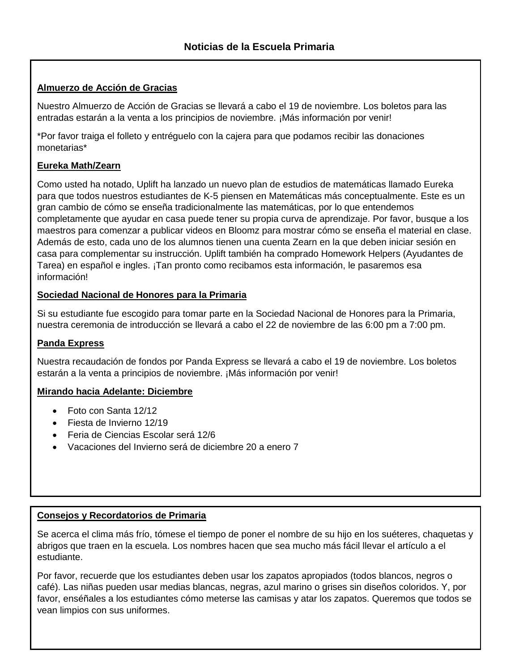## **Almuerzo de Acción de Gracias**

Nuestro Almuerzo de Acción de Gracias se llevará a cabo el 19 de noviembre. Los boletos para las entradas estarán a la venta a los principios de noviembre. ¡Más información por venir!

\*Por favor traiga el folleto y entréguelo con la cajera para que podamos recibir las donaciones monetarias\*

#### **Eureka Math/Zearn**

Como usted ha notado, Uplift ha lanzado un nuevo plan de estudios de matemáticas llamado Eureka para que todos nuestros estudiantes de K-5 piensen en Matemáticas más conceptualmente. Este es un gran cambio de cómo se enseña tradicionalmente las matemáticas, por lo que entendemos completamente que ayudar en casa puede tener su propia curva de aprendizaje. Por favor, busque a los maestros para comenzar a publicar videos en Bloomz para mostrar cómo se enseña el material en clase. Además de esto, cada uno de los alumnos tienen una cuenta Zearn en la que deben iniciar sesión en casa para complementar su instrucción. Uplift también ha comprado Homework Helpers (Ayudantes de Tarea) en español e ingles. ¡Tan pronto como recibamos esta información, le pasaremos esa información!

#### **Sociedad Nacional de Honores para la Primaria**

Si su estudiante fue escogido para tomar parte en la Sociedad Nacional de Honores para la Primaria, nuestra ceremonia de introducción se llevará a cabo el 22 de noviembre de las 6:00 pm a 7:00 pm.

## **Panda Express**

Nuestra recaudación de fondos por Panda Express se llevará a cabo el 19 de noviembre. Los boletos estarán a la venta a principios de noviembre. ¡Más información por venir!

#### **Mirando hacia Adelante: Diciembre**

- Foto con Santa 12/12
- **•** Fiesta de Invierno 12/19
- Feria de Ciencias Escolar será 12/6
- Vacaciones del Invierno será de diciembre 20 a enero 7

#### **Consejos y Recordatorios de Primaria**

Se acerca el clima más frío, tómese el tiempo de poner el nombre de su hijo en los suéteres, chaquetas y abrigos que traen en la escuela. Los nombres hacen que sea mucho más fácil llevar el artículo a el estudiante.

Por favor, recuerde que los estudiantes deben usar los zapatos apropiados (todos blancos, negros o café). Las niñas pueden usar medias blancas, negras, azul marino o grises sin diseños coloridos. Y, por favor, enséñales a los estudiantes cómo meterse las camisas y atar los zapatos. Queremos que todos se vean limpios con sus uniformes.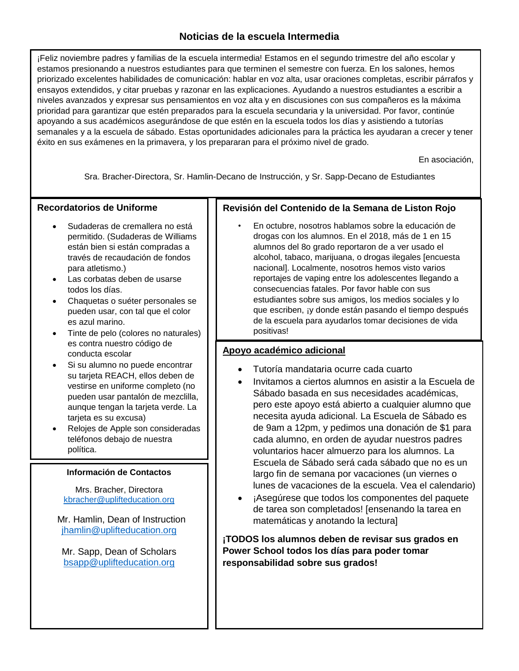## **Noticias de la escuela Intermedia**

¡Feliz noviembre padres y familias de la escuela intermedia! Estamos en el segundo trimestre del año escolar y estamos presionando a nuestros estudiantes para que terminen el semestre con fuerza. En los salones, hemos priorizado excelentes habilidades de comunicación: hablar en voz alta, usar oraciones completas, escribir párrafos y ensayos extendidos, y citar pruebas y razonar en las explicaciones. Ayudando a nuestros estudiantes a escribir a niveles avanzados y expresar sus pensamientos en voz alta y en discusiones con sus compañeros es la máxima prioridad para garantizar que estén preparados para la escuela secundaria y la universidad. Por favor, continúe apoyando a sus académicos asegurándose de que estén en la escuela todos los días y asistiendo a tutorías semanales y a la escuela de sábado. Estas oportunidades adicionales para la práctica les ayudaran a crecer y tener éxito en sus exámenes en la primavera, y los prepararan para el próximo nivel de grado.

En asociación,

Sra. Bracher-Directora, Sr. Hamlin-Decano de Instrucción, y Sr. Sapp-Decano de Estudiantes

#### **Recordatorios de Uniforme**

- Sudaderas de cremallera no está permitido. (Sudaderas de Williams están bien si están compradas a través de recaudación de fondos para atletismo.)
- Las corbatas deben de usarse todos los días.
- Chaquetas o suéter personales se pueden usar, con tal que el color es azul marino.
- Tinte de pelo (colores no naturales) es contra nuestro código de conducta escolar
- Si su alumno no puede encontrar su tarjeta REACH, ellos deben de vestirse en uniforme completo (no pueden usar pantalón de mezclilla, aunque tengan la tarjeta verde. La tarjeta es su excusa)
- Relojes de Apple son consideradas teléfonos debajo de nuestra política.

#### **Información de Contactos**

Mrs. Bracher, Directora [kbracher@uplifteducation.org](mailto:kbracher@uplifteducation.org)

 Mr. Hamlin, Dean of Instruction [jhamlin@uplifteducation.org](mailto:jhamlin@uplifteducation.org)

Mr. Sapp, Dean of Scholars [bsapp@uplifteducation.org](mailto:bsapp@uplifteducation.org)

#### **Revisión del Contenido de la Semana de Liston Rojo**

• En octubre, nosotros hablamos sobre la educación de drogas con los alumnos. En el 2018, más de 1 en 15 alumnos del 8o grado reportaron de a ver usado el alcohol, tabaco, marijuana, o drogas ilegales [encuesta nacional]. Localmente, nosotros hemos visto varios reportajes de vaping entre los adolescentes llegando a consecuencias fatales. Por favor hable con sus estudiantes sobre sus amigos, los medios sociales y lo que escriben, ¡y donde están pasando el tiempo después de la escuela para ayudarlos tomar decisiones de vida positivas!

#### **Apoyo académico adicional**

- Tutoría mandataria ocurre cada cuarto
- Invitamos a ciertos alumnos en asistir a la Escuela de Sábado basada en sus necesidades académicas, pero este apoyo está abierto a cualquier alumno que necesita ayuda adicional. La Escuela de Sábado es de 9am a 12pm, y pedimos una donación de \$1 para cada alumno, en orden de ayudar nuestros padres voluntarios hacer almuerzo para los alumnos. La Escuela de Sábado será cada sábado que no es un largo fin de semana por vacaciones (un viernes o lunes de vacaciones de la escuela. Vea el calendario)
- ¡Asegúrese que todos los componentes del paquete de tarea son completados! [ensenando la tarea en matemáticas y anotando la lectura]

**¡TODOS los alumnos deben de revisar sus grados en Power School todos los días para poder tomar responsabilidad sobre sus grados!**